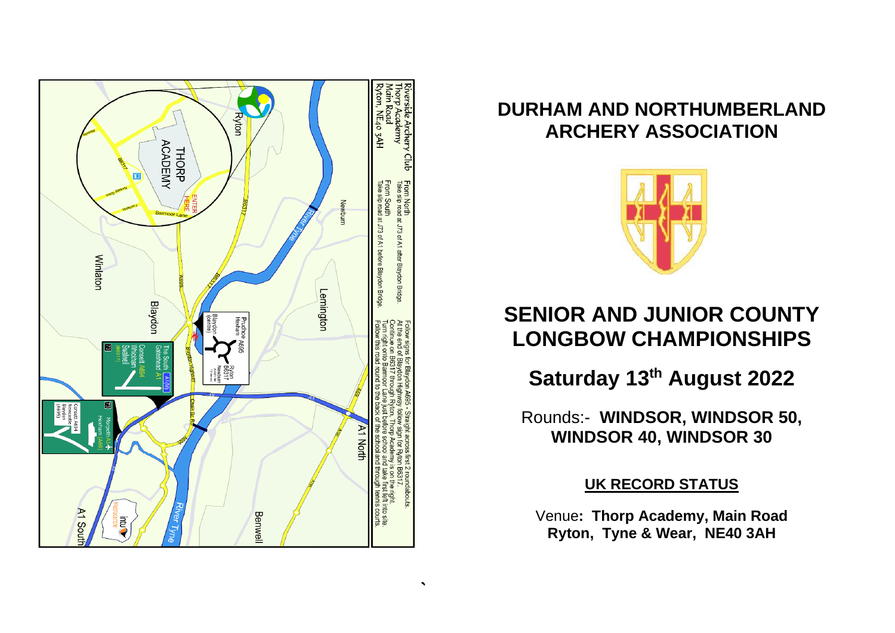

## **DURHAM AND NORTHUMBERLAND ARCHERY ASSOCIATION**



## **SENIOR AND JUNIOR COUNTY LONGBOW CHAMPIONSHIPS**

**Saturday 13 th August 2022**

Rounds:- **WINDSOR, WINDSOR 50, WINDSOR 40, WINDSOR 30**

**UK RECORD STATUS**

Venue**: Thorp Academy, Main Road Ryton, Tyne & Wear, NE40 3AH**

 $\mathcal{L}_{\mathcal{L}}$